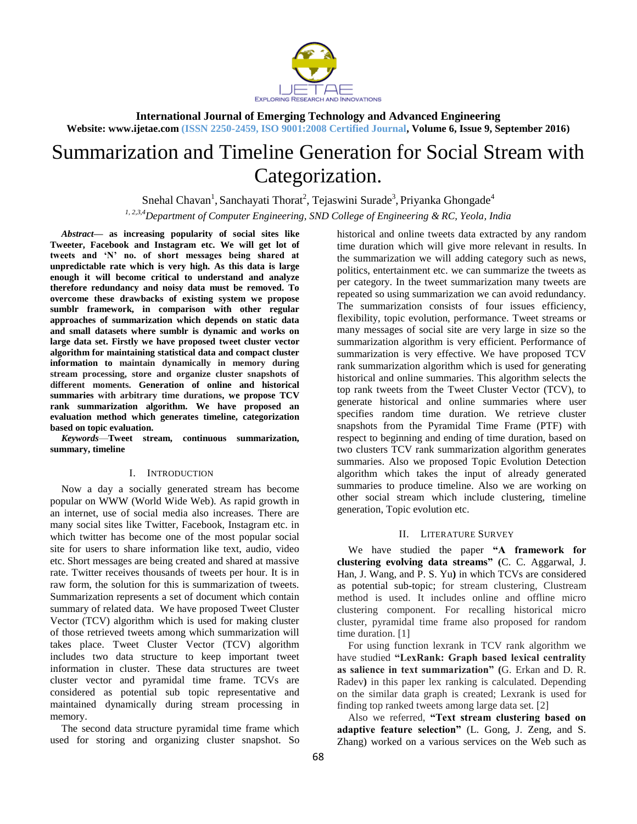

**International Journal of Emerging Technology and Advanced Engineering Website: www.ijetae.com (ISSN 2250-2459, ISO 9001:2008 Certified Journal, Volume 6, Issue 9, September 2016)**

# Summarization and Timeline Generation for Social Stream with Categorization.

Snehal Chavan<sup>1</sup>, Sanchayati Thorat<sup>2</sup>, Tejaswini Surade<sup>3</sup>, Priyanka Ghongade<sup>4</sup> *1, 2,3,4Department of Computer Engineering, SND College of Engineering & RC, Yeola, India*

*Abstract***— as increasing popularity of social sites like Tweeter, Facebook and Instagram etc. We will get lot of tweets and "N" no. of short messages being shared at unpredictable rate which is very high. As this data is large enough it will become critical to understand and analyze therefore redundancy and noisy data must be removed. To overcome these drawbacks of existing system we propose sumblr framework, in comparison with other regular approaches of summarization which depends on static data and small datasets where sumblr is dynamic and works on large data set. Firstly we have proposed tweet cluster vector algorithm for maintaining statistical data and compact cluster information to maintain dynamically in memory during stream processing, store and organize cluster snapshots of different moments. Generation of online and historical summaries with arbitrary time durations, we propose TCV rank summarization algorithm. We have proposed an evaluation method which generates timeline, categorization based on topic evaluation.**

*Keywords*—**Tweet stream, continuous summarization, summary, timeline**

#### I. INTRODUCTION

Now a day a socially generated stream has become popular on WWW (World Wide Web). As rapid growth in an internet, use of social media also increases. There are many social sites like Twitter, Facebook, Instagram etc. in which twitter has become one of the most popular social site for users to share information like text, audio, video etc. Short messages are being created and shared at massive rate. Twitter receives thousands of tweets per hour. It is in raw form, the solution for this is summarization of tweets. Summarization represents a set of document which contain summary of related data. We have proposed Tweet Cluster Vector (TCV) algorithm which is used for making cluster of those retrieved tweets among which summarization will takes place. Tweet Cluster Vector (TCV) algorithm includes two data structure to keep important tweet information in cluster. These data structures are tweet cluster vector and pyramidal time frame. TCVs are considered as potential sub topic representative and maintained dynamically during stream processing in memory.

The second data structure pyramidal time frame which used for storing and organizing cluster snapshot. So historical and online tweets data extracted by any random time duration which will give more relevant in results. In the summarization we will adding category such as news, politics, entertainment etc. we can summarize the tweets as per category. In the tweet summarization many tweets are repeated so using summarization we can avoid redundancy. The summarization consists of four issues efficiency, flexibility, topic evolution, performance. Tweet streams or many messages of social site are very large in size so the summarization algorithm is very efficient. Performance of summarization is very effective. We have proposed TCV rank summarization algorithm which is used for generating historical and online summaries. This algorithm selects the top rank tweets from the Tweet Cluster Vector (TCV), to generate historical and online summaries where user specifies random time duration. We retrieve cluster snapshots from the Pyramidal Time Frame (PTF) with respect to beginning and ending of time duration, based on two clusters TCV rank summarization algorithm generates summaries. Also we proposed Topic Evolution Detection algorithm which takes the input of already generated summaries to produce timeline. Also we are working on other social stream which include clustering, timeline generation, Topic evolution etc.

# II. LITERATURE SURVEY

We have studied the paper **"A framework for clustering evolving data streams" (**C. C. Aggarwal, J. Han, J. Wang, and P. S. Yu**)** in which TCVs are considered as potential sub-topic; for stream clustering, Clustream method is used. It includes online and offline micro clustering component. For recalling historical micro cluster, pyramidal time frame also proposed for random time duration. [1]

For using function lexrank in TCV rank algorithm we have studied **"LexRank: Graph based lexical centrality as salience in text summarization" (**G. Erkan and D. R. Radev**)** in this paper lex ranking is calculated. Depending on the similar data graph is created; Lexrank is used for finding top ranked tweets among large data set. [2]

Also we referred, **"Text stream clustering based on adaptive feature selection"** (L. Gong, J. Zeng, and S. Zhang) worked on a various services on the Web such as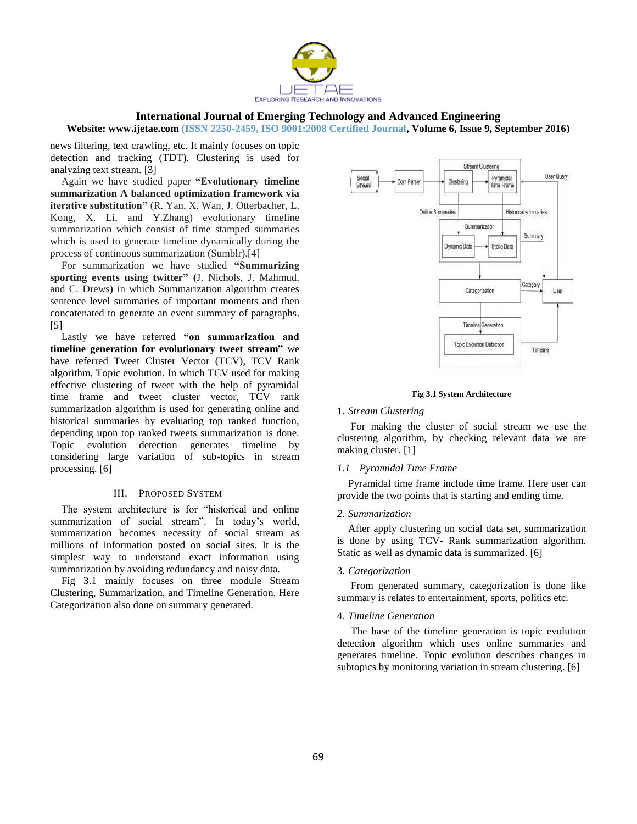

# **International Journal of Emerging Technology and Advanced Engineering**

**Website: www.ijetae.com (ISSN 2250-2459, ISO 9001:2008 Certified Journal, Volume 6, Issue 9, September 2016)**

news filtering, text crawling, etc. It mainly focuses on topic detection and tracking (TDT). Clustering is used for analyzing text stream. [3]

Again we have studied paper **"Evolutionary timeline summarization A balanced optimization framework via iterative substitution"** (R. Yan, X. Wan, J. Otterbacher, L. Kong, X. Li, and Y.Zhang) evolutionary timeline summarization which consist of time stamped summaries which is used to generate timeline dynamically during the process of continuous summarization (Sumblr).[4]

For summarization we have studied **"Summarizing sporting events using twitter" (**J. Nichols, J. Mahmud, and C. Drews**)** in which Summarization algorithm creates sentence level summaries of important moments and then concatenated to generate an event summary of paragraphs. [5]

Lastly we have referred **"on summarization and timeline generation for evolutionary tweet stream"** we have referred Tweet Cluster Vector (TCV), TCV Rank algorithm, Topic evolution. In which TCV used for making effective clustering of tweet with the help of pyramidal time frame and tweet cluster vector, TCV rank summarization algorithm is used for generating online and historical summaries by evaluating top ranked function, depending upon top ranked tweets summarization is done. Topic evolution detection generates timeline by considering large variation of sub-topics in stream processing. [6]

# III. PROPOSED SYSTEM

The system architecture is for "historical and online summarization of social stream". In today's world, summarization becomes necessity of social stream as millions of information posted on social sites. It is the simplest way to understand exact information using summarization by avoiding redundancy and noisy data.

Fig 3.1 mainly focuses on three module Stream Clustering, Summarization, and Timeline Generation. Here Categorization also done on summary generated.



#### **Fig 3.1 System Architecture**

# 1. *Stream Clustering*

For making the cluster of social stream we use the clustering algorithm, by checking relevant data we are making cluster. [1]

#### *1.1 Pyramidal Time Frame*

Pyramidal time frame include time frame. Here user can provide the two points that is starting and ending time.

#### *2. Summarization*

After apply clustering on social data set, summarization is done by using TCV- Rank summarization algorithm. Static as well as dynamic data is summarized. [6]

#### 3. *Categorization*

From generated summary, categorization is done like summary is relates to entertainment, sports, politics etc.

#### 4. *Timeline Generation*

The base of the timeline generation is topic evolution detection algorithm which uses online summaries and generates timeline. Topic evolution describes changes in subtopics by monitoring variation in stream clustering. [6]